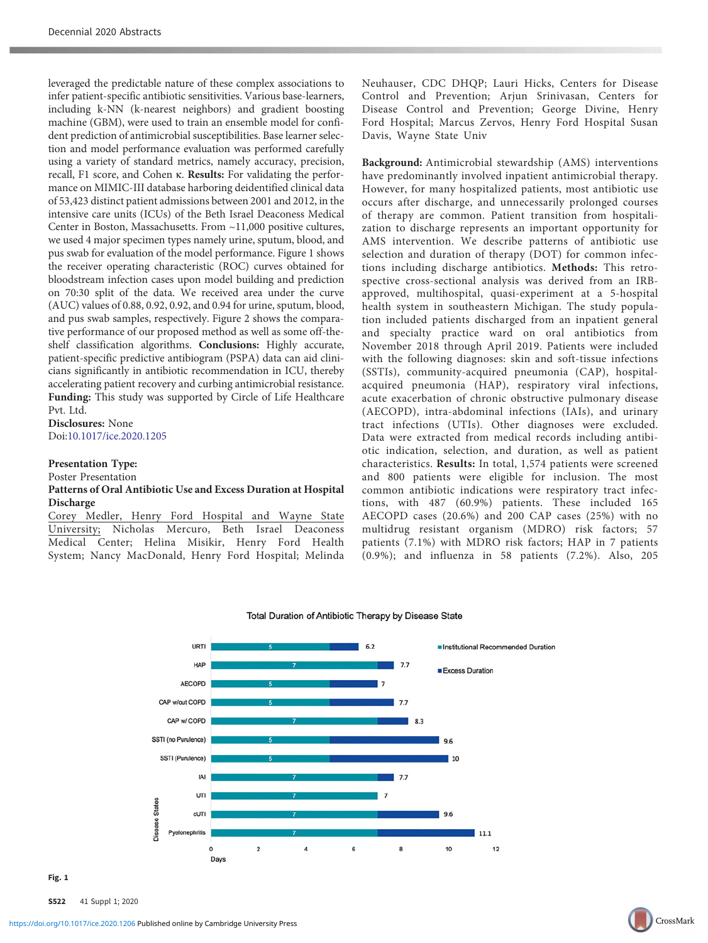leveraged the predictable nature of these complex associations to infer patient-specific antibiotic sensitivities. Various base-learners, including k-NN (k-nearest neighbors) and gradient boosting machine (GBM), were used to train an ensemble model for confident prediction of antimicrobial susceptibilities. Base learner selection and model performance evaluation was performed carefully using a variety of standard metrics, namely accuracy, precision, recall, F1 score, and Cohen κ. Results: For validating the performance on MIMIC-III database harboring deidentified clinical data of 53,423 distinct patient admissions between 2001 and 2012, in the intensive care units (ICUs) of the Beth Israel Deaconess Medical Center in Boston, Massachusetts. From ~11,000 positive cultures, we used 4 major specimen types namely urine, sputum, blood, and pus swab for evaluation of the model performance. Figure 1 shows the receiver operating characteristic (ROC) curves obtained for bloodstream infection cases upon model building and prediction on 70:30 split of the data. We received area under the curve (AUC) values of 0.88, 0.92, 0.92, and 0.94 for urine, sputum, blood, and pus swab samples, respectively. Figure 2 shows the comparative performance of our proposed method as well as some off-theshelf classification algorithms. Conclusions: Highly accurate, patient-specific predictive antibiogram (PSPA) data can aid clinicians significantly in antibiotic recommendation in ICU, thereby accelerating patient recovery and curbing antimicrobial resistance. Funding: This study was supported by Circle of Life Healthcare Pvt. Ltd.

Disclosures: None Doi:[10.1017/ice.2020.1205](https://doi.org/10.1017/ice.2020.1205)

### Presentation Type:

Poster Presentation

### Patterns of Oral Antibiotic Use and Excess Duration at Hospital Discharge

Corey Medler, Henry Ford Hospital and Wayne State University; Nicholas Mercuro, Beth Israel Deaconess Medical Center; Helina Misikir, Henry Ford Health System; Nancy MacDonald, Henry Ford Hospital; Melinda

Neuhauser, CDC DHQP; Lauri Hicks, Centers for Disease Control and Prevention; Arjun Srinivasan, Centers for Disease Control and Prevention; George Divine, Henry Ford Hospital; Marcus Zervos, Henry Ford Hospital Susan Davis, Wayne State Univ

Background: Antimicrobial stewardship (AMS) interventions have predominantly involved inpatient antimicrobial therapy. However, for many hospitalized patients, most antibiotic use occurs after discharge, and unnecessarily prolonged courses of therapy are common. Patient transition from hospitalization to discharge represents an important opportunity for AMS intervention. We describe patterns of antibiotic use selection and duration of therapy (DOT) for common infections including discharge antibiotics. Methods: This retrospective cross-sectional analysis was derived from an IRBapproved, multihospital, quasi-experiment at a 5-hospital health system in southeastern Michigan. The study population included patients discharged from an inpatient general and specialty practice ward on oral antibiotics from November 2018 through April 2019. Patients were included with the following diagnoses: skin and soft-tissue infections (SSTIs), community-acquired pneumonia (CAP), hospitalacquired pneumonia (HAP), respiratory viral infections, acute exacerbation of chronic obstructive pulmonary disease (AECOPD), intra-abdominal infections (IAIs), and urinary tract infections (UTIs). Other diagnoses were excluded. Data were extracted from medical records including antibiotic indication, selection, and duration, as well as patient characteristics. Results: In total, 1,574 patients were screened and 800 patients were eligible for inclusion. The most common antibiotic indications were respiratory tract infections, with 487 (60.9%) patients. These included 165 AECOPD cases (20.6%) and 200 CAP cases (25%) with no multidrug resistant organism (MDRO) risk factors; 57 patients (7.1%) with MDRO risk factors; HAP in 7 patients (0.9%); and influenza in 58 patients (7.2%). Also, 205



#### Total Duration of Antibiotic Therapy by Disease State

 $\cdot$   $\cdot$   $\cdot$   $\cdot$ 

S522 41 Suppl 1; 2020